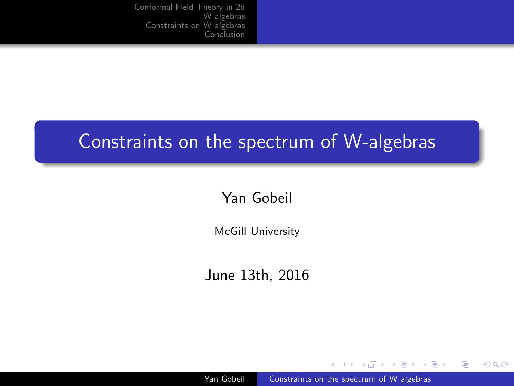# <span id="page-0-0"></span>Constraints on the spectrum of W-algebras

#### Yan Gobeil

McGill University

June 13th, 2016

Yan Gobeil **Constraints on the spectrum of W** algebras

and in

 $\mathbf{F} \rightarrow \mathbf{F} \oplus \mathbf{F} \rightarrow \mathbf{F} \oplus \mathbf{F}$ 

 $\equiv$ 

つくへ

∍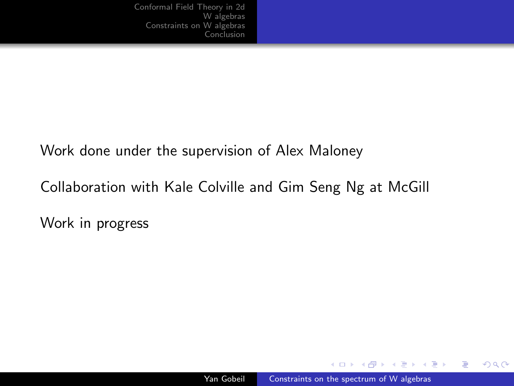#### Work done under the supervision of Alex Maloney

Collaboration with Kale Colville and Gim Seng Ng at McGill

Work in progress

a mills

同 ▶ ヨ ヨ ▶ ヨ ヨ ▶

 $299$ 

э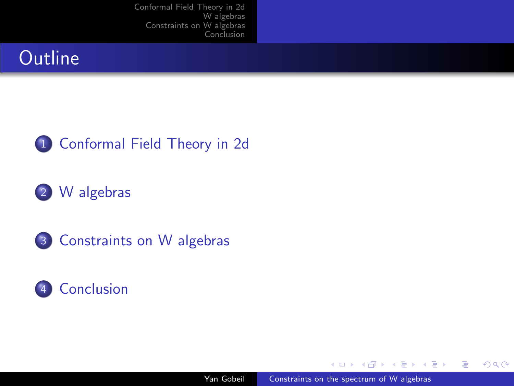## **Outline**



#### 2 [W algebras](#page-5-0)

3 [Constraints on W algebras](#page-8-0)



and in

 $\sim$ 

人名英格兰人姓氏

 $299$ 

э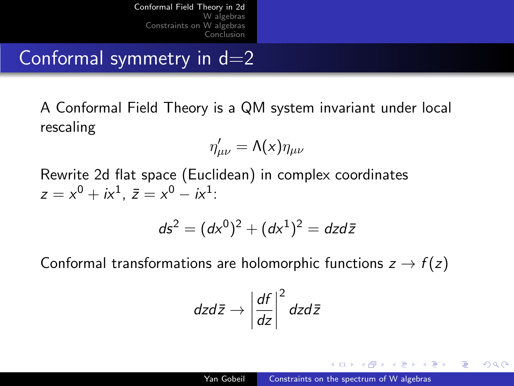<span id="page-3-0"></span>Conformal symmetry in  $d=2$ 

A Conformal Field Theory is a QM system invariant under local rescaling

$$
\eta'_{\mu\nu} = \Lambda(x)\eta_{\mu\nu}
$$

Rewrite 2d flat space (Euclidean) in complex coordinates  $z = x^0 + ix^1$ ,  $\bar{z} = x^0 - ix^1$ :

$$
ds^2 = (dx^0)^2 + (dx^1)^2 = dz d\bar{z}
$$

Conformal transformations are holomorphic functions  $z \rightarrow f(z)$ 

$$
dzd\bar{z} \rightarrow \left|\frac{df}{dz}\right|^2 dzd\bar{z}
$$

母 ▶ ヨ ヨ ▶ ヨ ヨ ▶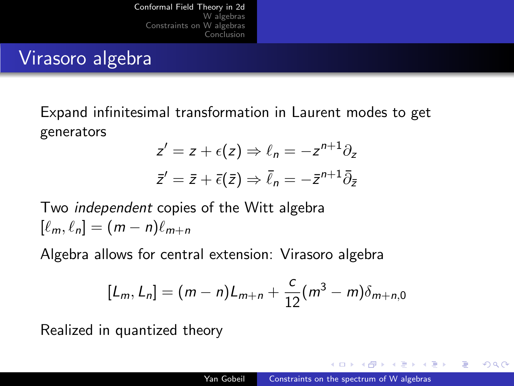### Virasoro algebra

Expand infinitesimal transformation in Laurent modes to get generators

$$
z' = z + \epsilon(z) \Rightarrow \ell_n = -z^{n+1}\partial_z
$$
  

$$
\bar{z}' = \bar{z} + \bar{\epsilon}(\bar{z}) \Rightarrow \bar{\ell}_n = -\bar{z}^{n+1}\bar{\partial}_{\bar{z}}
$$

Two independent copies of the Witt algebra  $[\ell_m, \ell_n] = (m - n)\ell_{m+n}$ 

Algebra allows for central extension: Virasoro algebra

$$
[L_m, L_n] = (m-n)L_{m+n} + \frac{c}{12}(m^3 - m)\delta_{m+n,0}
$$

Realized in quantized theory

同 ▶ ヨ ヨ ▶ ヨ ヨ ▶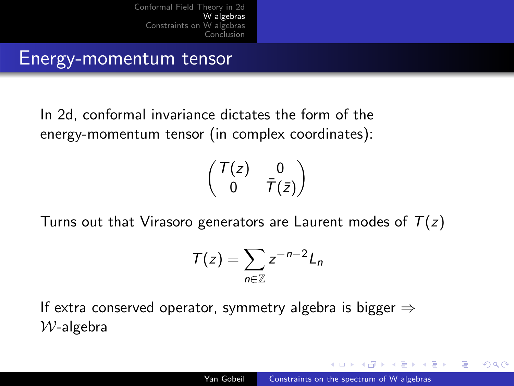[Conformal Field Theory in 2d](#page-3-0) **W** algebras<br>Constraints on [W algebras](#page-5-0) [Conclusion](#page-15-0)

<span id="page-5-0"></span>Energy-momentum tensor

In 2d, conformal invariance dictates the form of the energy-momentum tensor (in complex coordinates):

$$
\begin{pmatrix} T(z) & 0 \\ 0 & \bar{T}(\bar{z}) \end{pmatrix}
$$

Turns out that Virasoro generators are Laurent modes of  $T(z)$ 

$$
T(z)=\sum_{n\in\mathbb{Z}}z^{-n-2}L_n
$$

If extra conserved operator, symmetry algebra is bigger  $\Rightarrow$  $W$ -algebra

母 トマミト マミト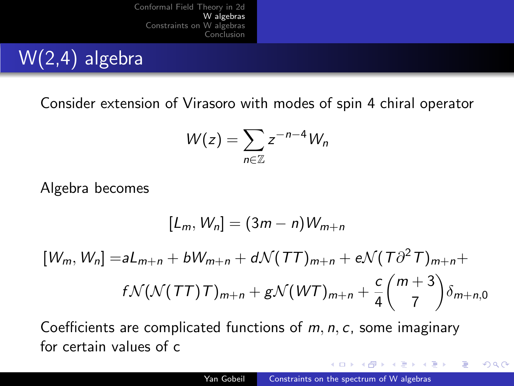# W(2,4) algebra

Consider extension of Virasoro with modes of spin 4 chiral operator

$$
W(z)=\sum_{n\in\mathbb{Z}}z^{-n-4}W_n
$$

Algebra becomes

$$
[L_m, W_n] = (3m - n)W_{m+n}
$$
  

$$
[W_m, W_n] = aL_{m+n} + bW_{m+n} + d\mathcal{N}(TT)_{m+n} + e\mathcal{N}(T\partial^2 T)_{m+n} + f\mathcal{N}(\mathcal{N}(TT)T)_{m+n} + g\mathcal{N}(WT)_{m+n} + \frac{c}{4}\binom{m+3}{7}\delta_{m+n,0}
$$

Coefficients are complicated functions of  $m, n, c$ , some imaginary for certain values of c

and in

∢何 ▶ ∢ ヨ ▶ ∢ ヨ ▶

 $\Omega$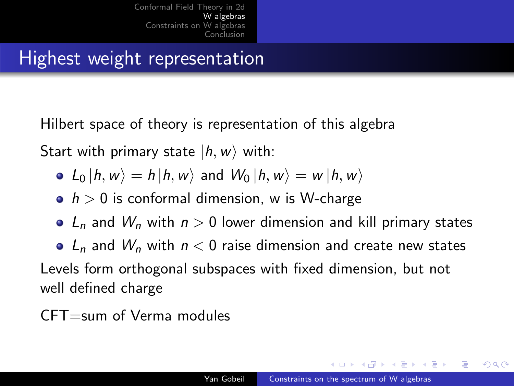[Conformal Field Theory in 2d](#page-3-0) **W** algebras<br>Constraints on [W algebras](#page-5-0) [Conclusion](#page-15-0)

## <span id="page-7-0"></span>Highest weight representation

Hilbert space of theory is representation of this algebra

Start with primary state  $|h, w\rangle$  with:

- $L_0 |h, w\rangle = h |h, w\rangle$  and  $W_0 |h, w\rangle = w |h, w\rangle$
- $\bullet$  h > 0 is conformal dimension, w is W-charge
- $L_n$  and  $W_n$  with  $n > 0$  lower dimension and kill primary states

•  $L_n$  and  $W_n$  with  $n < 0$  raise dimension and create new states Levels form orthogonal subspaces with fixed dimension, but not well defined charge

CFT=sum of Verma modules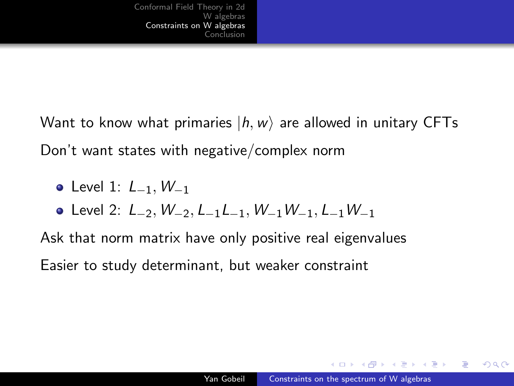<span id="page-8-0"></span>Want to know what primaries  $|h, w\rangle$  are allowed in unitary CFTs Don't want states with negative/complex norm

- Level 1: *L*<sub>-1</sub>, *W*<sub>-1</sub>
- Level 2: L−2, W−2, L−1L−1, W−1W−1, L−1W−<sup>1</sup>

Ask that norm matrix have only positive real eigenvalues Easier to study determinant, but weaker constraint

母 ▶ ヨ ヨ ▶ ヨ ヨ

つくへ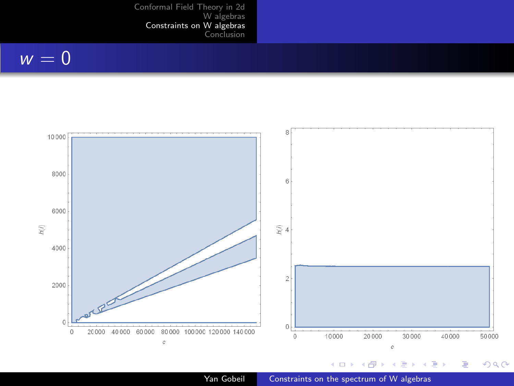[W algebras](#page-5-0)<br>[Constraints on W algebras](#page-8-0)<br>[Conclusion](#page-15-0)

#### $\overline{w} = 0$



Yan Gobeil **Constraints on the spectrum of W** algebras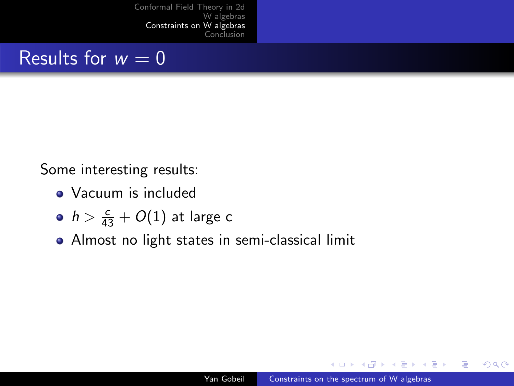### Results for  $w = 0$

Some interesting results:

- Vacuum is included
- $h > \frac{c}{43} + O(1)$  at large c
- Almost no light states in semi-classical limit

一 4 三 下

**Section** 

 $\Omega$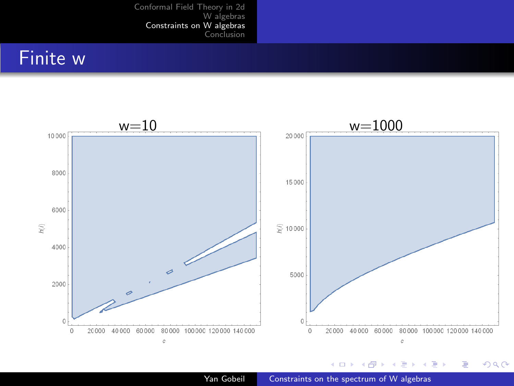[W algebras](#page-5-0) [Constraints on W algebras](#page-8-0) [Conclusion](#page-15-0)

## <span id="page-11-0"></span>Finite w



Yan Gobeil **[Constraints on the spectrum of W algebras](#page-0-0)**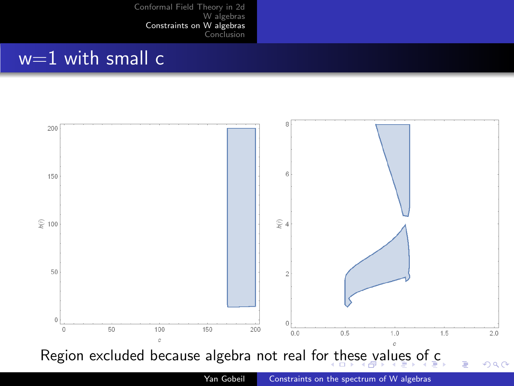### <span id="page-12-0"></span> $w=1$  with small c



Yan Gobeil [Constraints on the spectrum of W algebras](#page-0-0)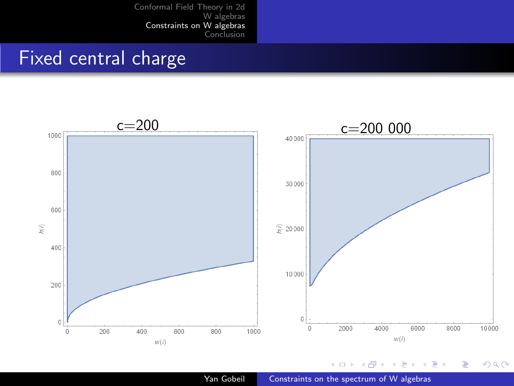[W algebras](#page-5-0) [Constraints on W algebras](#page-8-0) [Conclusion](#page-15-0)

### <span id="page-13-0"></span>Fixed central charge



Yan Gobeil **Constraints on the spectrum of W** algebras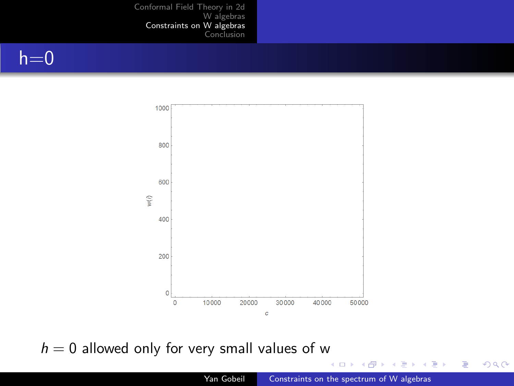#### <span id="page-14-0"></span> $h=0$



 $h = 0$  allowed only for very small values of w

 $\Box$ 

a. Þ a. 同  $\sim$ 准  $\,$ 

×.

 $\leftarrow \equiv$ 

Ε

 $299$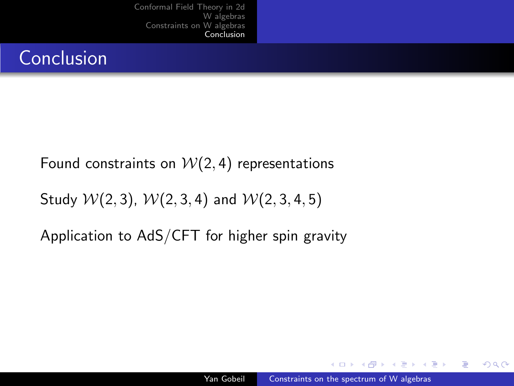# <span id="page-15-0"></span>Conclusion

#### Found constraints on  $W(2, 4)$  representations

Study  $W(2, 3)$ ,  $W(2, 3, 4)$  and  $W(2, 3, 4, 5)$ 

Application to AdS/CFT for higher spin gravity

a mills

伊 ▶ イヨ ▶ イヨ ▶

 $2990$